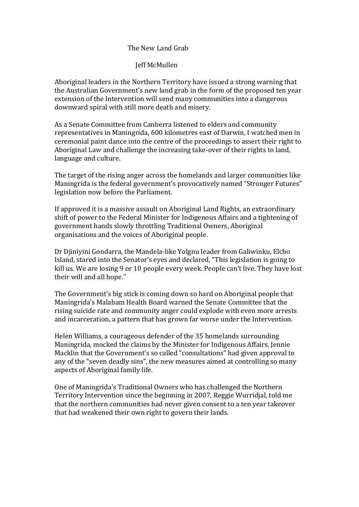## The New Land Grab

## **Jeff McMullen**

Aboriginal leaders in the Northern Territory have issued a strong warning that the Australian Government's new land grab in the form of the proposed ten year extension of the Intervention will send many communities into a dangerous downward spiral with still more death and misery.

As a Senate Committee from Canberra listened to elders and community representatives in Maningrida, 600 kilometres east of Darwin, I watched men in ceremonial paint dance into the centre of the proceedings to assert their right to Aboriginal Law and challenge the increasing take-over of their rights to land, language and culture.

The target of the rising anger across the homelands and larger communities like Maningrida is the federal government's provocatively named "Stronger Futures" legislation now before the Parliament.

If approved it is a massive assault on Aboriginal Land Rights, an extraordinary shift of power to the Federal Minister for Indigenous Affairs and a tightening of government hands slowly throttling Traditional Owners, Aboriginal organisations and the voices of Aboriginal people.

Dr Diinivini Gondarra, the Mandela-like Yolgnu leader from Galiwinku, Elcho Island, stared into the Senator's eyes and declared, "This legislation is going to kill us. We are losing 9 or 10 people every week. People can't live. They have lost their will and all hope."

The Government's big stick is coming down so hard on Aboriginal people that Maningrida's Malabam Health Board warned the Senate Committee that the rising suicide rate and community anger could explode with even more arrests and incarceration, a pattern that has grown far worse under the Intervention.

Helen Williams, a courageous defender of the 35 homelands surrounding Maningrida, mocked the claims by the Minister for Indigenous Affairs, Jennie Macklin that the Government's so called "consultations" had given approval to any of the "seven deadly sins", the new measures aimed at controlling so many aspects of Aboriginal family life.

One of Maningrida's Traditional Owners who has challenged the Northern Territory Intervention since the beginning in 2007, Reggie Wurridjal, told me that the northern communities had never given consent to a ten year takeover that had weakened their own right to govern their lands.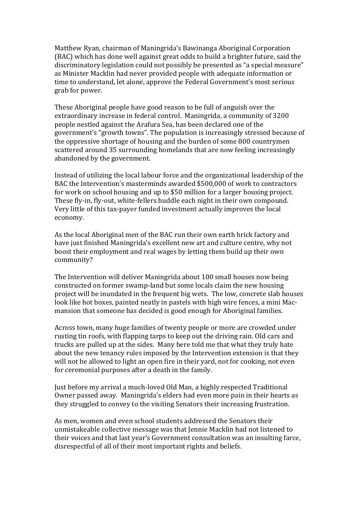Matthew Ryan, chairman of Maningrida's Bawinanga Aboriginal Corporation (BAC) which has done well against great odds to build a brighter future, said the discriminatory legislation could not possibly be presented as "a special measure" as Minister Macklin had never provided people with adequate information or time to understand, let alone, approve the Federal Government's most serious grab for power.

These Aboriginal people have good reason to be full of anguish over the extraordinary increase in federal control. Maningrida, a community of 3200 people nestled against the Arafura Sea, has been declared one of the government's "growth towns". The population is increasingly stressed because of the oppressive shortage of housing and the burden of some 800 countrymen scattered around 35 surrounding homelands that are now feeling increasingly abandoned by the government.

Instead of utilizing the local labour force and the organizational leadership of the BAC the Intervention's masterminds awarded \$500,000 of work to contractors for work on school housing and up to \$50 million for a larger housing project. These fly-in, fly-out, white-fellers huddle each night in their own compound. Very little of this tax-payer funded investment actually improves the local economy.

As the local Aboriginal men of the BAC run their own earth brick factory and have just finished Maningrida's excellent new art and culture centre, why not boost their employment and real wages by letting them build up their own community?

The Intervention will deliver Maningrida about 100 small houses now being constructed on former swamp-land but some locals claim the new housing project will be inundated in the frequent big wets. The low, concrete slab houses look like hot boxes, painted neatly in pastels with high wire fences, a mini Macmansion that someone has decided is good enough for Aboriginal families.

Across town, many huge families of twenty people or more are crowded under rusting tin roofs, with flapping tarps to keep out the driving rain. Old cars and trucks are pulled up at the sides. Many here told me that what they truly hate about the new tenancy rules imposed by the Intervention extension is that they will not be allowed to light an open fire in their yard, not for cooking, not even for ceremonial purposes after a death in the family.

Just before my arrival a much-loved Old Man, a highly respected Traditional Owner passed away. Maningrida's elders had even more pain in their hearts as they struggled to convey to the visiting Senators their increasing frustration.

As men, women and even school students addressed the Senators their unmistakeable collective message was that Jennie Macklin had not listened to their voices and that last year's Government consultation was an insulting farce, disrespectful of all of their most important rights and beliefs.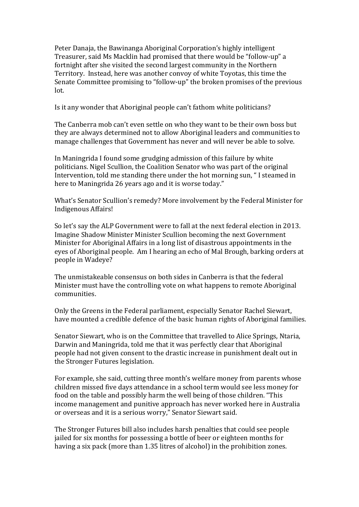Peter Danaja, the Bawinanga Aboriginal Corporation's highly intelligent Treasurer, said Ms Macklin had promised that there would be "follow-up" a fortnight after she visited the second largest community in the Northern Territory. Instead, here was another convoy of white Toyotas, this time the Senate Committee promising to "follow-up" the broken promises of the previous  $lot.$ 

Is it any wonder that Aboriginal people can't fathom white politicians?

The Canberra mob can't even settle on who they want to be their own boss but they are always determined not to allow Aboriginal leaders and communities to manage challenges that Government has never and will never be able to solve.

In Maningrida I found some grudging admission of this failure by white politicians. Nigel Scullion, the Coalition Senator who was part of the original Intervention, told me standing there under the hot morning sun, "I steamed in here to Maningrida 26 years ago and it is worse today."

What's Senator Scullion's remedy? More involvement by the Federal Minister for Indigenous Affairs!

So let's say the ALP Government were to fall at the next federal election in 2013. Imagine Shadow Minister Minister Scullion becoming the next Government Minister for Aboriginal Affairs in a long list of disastrous appointments in the eves of Aboriginal people. Am I hearing an echo of Mal Brough, barking orders at people in Wadeve?

The unmistakeable consensus on both sides in Canberra is that the federal Minister must have the controlling vote on what happens to remote Aboriginal communities.

Only the Greens in the Federal parliament, especially Senator Rachel Siewart, have mounted a credible defence of the basic human rights of Aboriginal families.

Senator Siewart, who is on the Committee that travelled to Alice Springs, Ntaria, Darwin and Maningrida, told me that it was perfectly clear that Aboriginal people had not given consent to the drastic increase in punishment dealt out in the Stronger Futures legislation.

For example, she said, cutting three month's welfare money from parents whose children missed five days attendance in a school term would see less monev for food on the table and possibly harm the well being of those children. "This income management and punitive approach has never worked here in Australia or overseas and it is a serious worry," Senator Siewart said.

The Stronger Futures bill also includes harsh penalties that could see people jailed for six months for possessing a bottle of beer or eighteen months for having a six pack (more than 1.35 litres of alcohol) in the prohibition zones.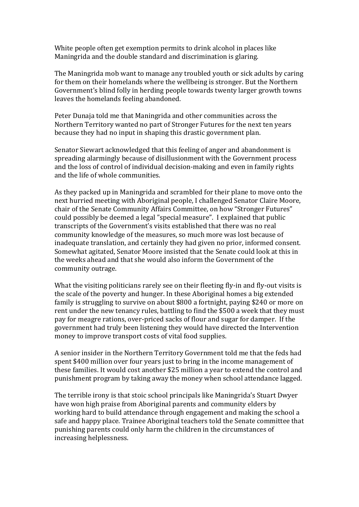White people often get exemption permits to drink alcohol in places like Maningrida and the double standard and discrimination is glaring.

The Maningrida mob want to manage any troubled youth or sick adults by caring for them on their homelands where the wellbeing is stronger. But the Northern Government's blind folly in herding people towards twenty larger growth towns leaves the homelands feeling abandoned.

Peter Dunaja told me that Maningrida and other communities across the Northern Territory wanted no part of Stronger Futures for the next ten years because they had no input in shaping this drastic government plan.

Senator Siewart acknowledged that this feeling of anger and abandonment is spreading alarmingly because of disillusionment with the Government process and the loss of control of individual decision-making and even in family rights and the life of whole communities.

As they packed up in Maningrida and scrambled for their plane to move onto the next hurried meeting with Aboriginal people, I challenged Senator Claire Moore, chair of the Senate Community Affairs Committee, on how "Stronger Futures" could possibly be deemed a legal "special measure". I explained that public transcripts of the Government's visits established that there was no real community knowledge of the measures, so much more was lost because of inadequate translation, and certainly they had given no prior, informed consent. Somewhat agitated. Senator Moore insisted that the Senate could look at this in the weeks ahead and that she would also inform the Government of the community outrage.

What the visiting politicians rarely see on their fleeting fly-in and fly-out visits is the scale of the poverty and hunger. In these Aboriginal homes a big extended family is struggling to survive on about \$800 a fortnight, paying \$240 or more on rent under the new tenancy rules, battling to find the \$500 a week that they must pay for meagre rations, over-priced sacks of flour and sugar for damper. If the government had truly been listening they would have directed the Intervention money to improve transport costs of vital food supplies.

A senior insider in the Northern Territory Government told me that the feds had spent \$400 million over four years just to bring in the income management of these families. It would cost another \$25 million a year to extend the control and punishment program by taking away the money when school attendance lagged.

The terrible irony is that stoic school principals like Maningrida's Stuart Dwyer have won high praise from Aboriginal parents and community elders by working hard to build attendance through engagement and making the school a safe and happy place. Trainee Aboriginal teachers told the Senate committee that punishing parents could only harm the children in the circumstances of increasing helplessness.